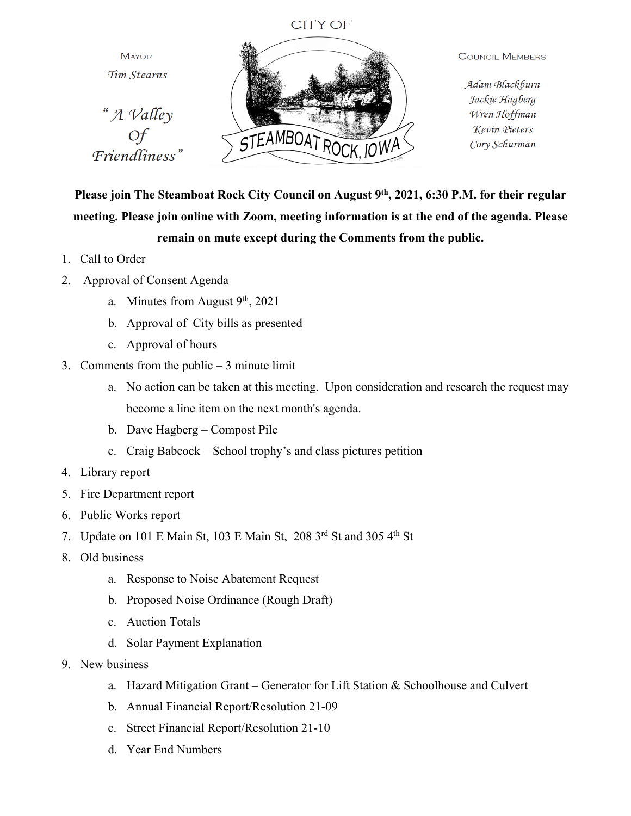## **CITY OF**

**MAYOR** Tim Stearns





**COUNCIL MEMBERS** 

Adam Blackburn Jackie Hagberg Wren Hoffman Kevin Pieters Cory Schurman

**Please join The Steamboat Rock City Council on August 9th, 2021, 6:30 P.M. for their regular meeting. Please join online with Zoom, meeting information is at the end of the agenda. Please remain on mute except during the Comments from the public.**

- 1. Call to Order
- 2. Approval of Consent Agenda
	- a. Minutes from August 9<sup>th</sup>, 2021
	- b. Approval of City bills as presented
	- c. Approval of hours
- 3. Comments from the public 3 minute limit
	- a. No action can be taken at this meeting. Upon consideration and research the request may become a line item on the next month's agenda.
	- b. Dave Hagberg Compost Pile
	- c. Craig Babcock School trophy's and class pictures petition
- 4. Library report
- 5. Fire Department report
- 6. Public Works report
- 7. Update on 101 E Main St, 103 E Main St, 208 3rd St and 305 4th St
- 8. Old business
	- a. Response to Noise Abatement Request
	- b. Proposed Noise Ordinance (Rough Draft)
	- c. Auction Totals
	- d. Solar Payment Explanation
- 9. New business
	- a. Hazard Mitigation Grant Generator for Lift Station & Schoolhouse and Culvert
	- b. Annual Financial Report/Resolution 21-09
	- c. Street Financial Report/Resolution 21-10
	- d. Year End Numbers